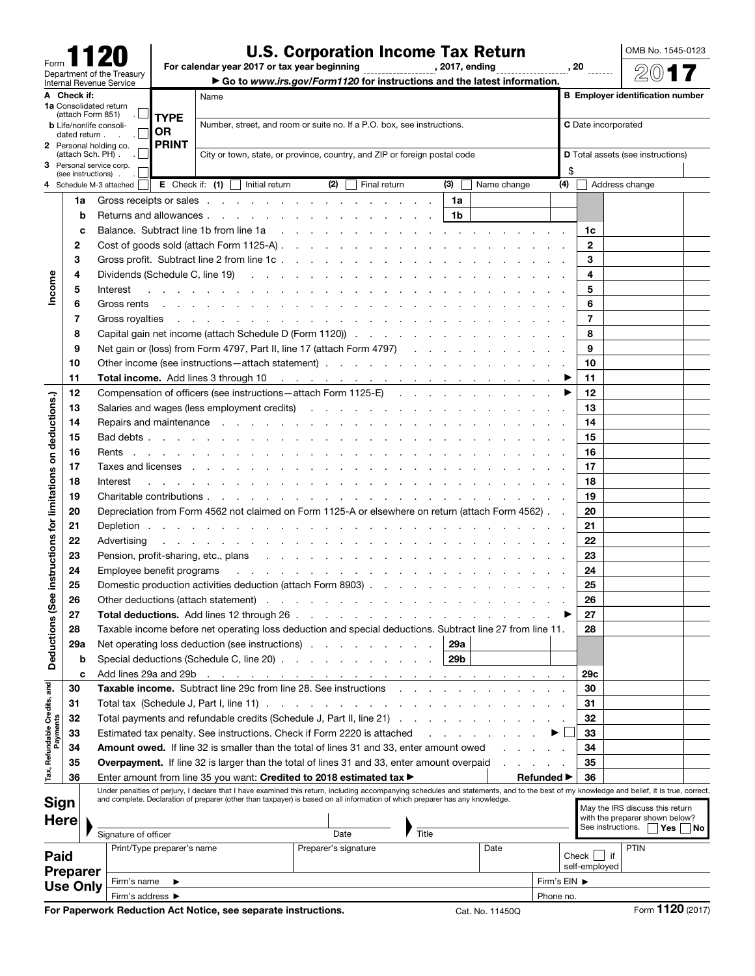| Form                                                   |  |  |  |  |  |  |  |  |
|--------------------------------------------------------|--|--|--|--|--|--|--|--|
|                                                        |  |  |  |  |  |  |  |  |
| Department of the Treasury<br>Internal Revenue Service |  |  |  |  |  |  |  |  |

## U.S. Corporation Income Tax Return

OMB No. 1545-0123 2017

For calendar year 2017 or tax year beginning , 2017, ending , 20

▶ Go to *www.irs.gov/Form1120* for instructions and the latest information.

|                                                                                                                                                                            | A Check if:         |                                                                                                                            | Name<br>1a Consolidated return                                                                                                                                                                                                 |                                                                                                                |                                                                                                   |                                                                                                                                                 |                                           |  | <b>B</b> Employer identification number |                                                                                     |       |    |                                          |      |             |  |              |                 |                                                                    |  |  |  |  |
|----------------------------------------------------------------------------------------------------------------------------------------------------------------------------|---------------------|----------------------------------------------------------------------------------------------------------------------------|--------------------------------------------------------------------------------------------------------------------------------------------------------------------------------------------------------------------------------|----------------------------------------------------------------------------------------------------------------|---------------------------------------------------------------------------------------------------|-------------------------------------------------------------------------------------------------------------------------------------------------|-------------------------------------------|--|-----------------------------------------|-------------------------------------------------------------------------------------|-------|----|------------------------------------------|------|-------------|--|--------------|-----------------|--------------------------------------------------------------------|--|--|--|--|
| (attach Form 851)<br><b>TYPE</b><br>Number, street, and room or suite no. If a P.O. box, see instructions.<br><b>b</b> Life/nonlife consoli-<br><b>OR</b><br>dated return. |                     |                                                                                                                            |                                                                                                                                                                                                                                |                                                                                                                |                                                                                                   |                                                                                                                                                 |                                           |  |                                         |                                                                                     |       |    | C Date incorporated                      |      |             |  |              |                 |                                                                    |  |  |  |  |
|                                                                                                                                                                            |                     |                                                                                                                            | 2 Personal holding co.                                                                                                                                                                                                         | <b>PRINT</b>                                                                                                   |                                                                                                   |                                                                                                                                                 |                                           |  |                                         |                                                                                     |       |    |                                          |      |             |  |              |                 |                                                                    |  |  |  |  |
|                                                                                                                                                                            |                     | City or town, state, or province, country, and ZIP or foreign postal code<br>(attach Sch. PH).<br>3 Personal service corp. |                                                                                                                                                                                                                                |                                                                                                                |                                                                                                   |                                                                                                                                                 |                                           |  |                                         |                                                                                     |       |    | <b>D</b> Total assets (see instructions) |      |             |  |              |                 |                                                                    |  |  |  |  |
|                                                                                                                                                                            | (see instructions). |                                                                                                                            |                                                                                                                                                                                                                                |                                                                                                                |                                                                                                   |                                                                                                                                                 |                                           |  |                                         |                                                                                     |       |    |                                          |      |             |  | \$           |                 |                                                                    |  |  |  |  |
|                                                                                                                                                                            |                     |                                                                                                                            | Schedule M-3 attached                                                                                                                                                                                                          |                                                                                                                |                                                                                                   |                                                                                                                                                 | <b>E</b> Check if: $(1)$   Initial return |  | (2)                                     | Final return                                                                        |       |    | (3)                                      |      | Name change |  | (4)          |                 | Address change                                                     |  |  |  |  |
|                                                                                                                                                                            | 1a                  |                                                                                                                            | Gross receipts or sales enter the contract of the contract of the contract of the contract of the contract of the contract of the contract of the contract of the contract of the contract of the contract of the contract of  |                                                                                                                |                                                                                                   |                                                                                                                                                 |                                           |  |                                         |                                                                                     |       |    | 1a                                       |      |             |  |              |                 |                                                                    |  |  |  |  |
|                                                                                                                                                                            |                     | b                                                                                                                          |                                                                                                                                                                                                                                |                                                                                                                |                                                                                                   |                                                                                                                                                 |                                           |  |                                         |                                                                                     |       |    | 1b                                       |      |             |  |              |                 |                                                                    |  |  |  |  |
|                                                                                                                                                                            |                     | С                                                                                                                          | Balance. Subtract line 1b from line 1a                                                                                                                                                                                         |                                                                                                                |                                                                                                   |                                                                                                                                                 |                                           |  |                                         |                                                                                     |       |    |                                          |      |             |  |              | 1c              |                                                                    |  |  |  |  |
|                                                                                                                                                                            | 2                   |                                                                                                                            | Cost of goods sold (attach Form 1125-A)                                                                                                                                                                                        |                                                                                                                |                                                                                                   |                                                                                                                                                 |                                           |  |                                         |                                                                                     |       |    |                                          |      |             |  |              | $\mathbf{2}$    |                                                                    |  |  |  |  |
|                                                                                                                                                                            | 3                   |                                                                                                                            | Gross profit. Subtract line 2 from line 1c.                                                                                                                                                                                    |                                                                                                                |                                                                                                   |                                                                                                                                                 |                                           |  |                                         |                                                                                     |       |    |                                          |      |             |  |              | 3               |                                                                    |  |  |  |  |
| Income                                                                                                                                                                     | 4                   |                                                                                                                            | Dividends (Schedule C, line 19)                                                                                                                                                                                                |                                                                                                                |                                                                                                   |                                                                                                                                                 |                                           |  |                                         |                                                                                     |       |    |                                          |      |             |  |              | 4               |                                                                    |  |  |  |  |
|                                                                                                                                                                            | 5                   |                                                                                                                            | Interest                                                                                                                                                                                                                       |                                                                                                                |                                                                                                   |                                                                                                                                                 |                                           |  |                                         |                                                                                     |       |    |                                          |      |             |  |              | 5               |                                                                    |  |  |  |  |
|                                                                                                                                                                            | 6                   |                                                                                                                            | Gross rents                                                                                                                                                                                                                    |                                                                                                                |                                                                                                   |                                                                                                                                                 |                                           |  |                                         |                                                                                     |       |    |                                          |      |             |  |              | 6               |                                                                    |  |  |  |  |
|                                                                                                                                                                            | 7                   |                                                                                                                            | Gross royalties                                                                                                                                                                                                                |                                                                                                                |                                                                                                   |                                                                                                                                                 |                                           |  |                                         | and the contract of the contract of the contract of the contract of the contract of |       |    |                                          |      |             |  |              | $\overline{7}$  |                                                                    |  |  |  |  |
|                                                                                                                                                                            | 8                   |                                                                                                                            | Capital gain net income (attach Schedule D (Form 1120))                                                                                                                                                                        |                                                                                                                |                                                                                                   |                                                                                                                                                 |                                           |  |                                         |                                                                                     |       |    |                                          |      |             |  |              | 8               |                                                                    |  |  |  |  |
|                                                                                                                                                                            | 9                   |                                                                                                                            | Net gain or (loss) from Form 4797, Part II, line 17 (attach Form 4797)                                                                                                                                                         |                                                                                                                |                                                                                                   |                                                                                                                                                 |                                           |  |                                         |                                                                                     |       |    |                                          |      |             |  |              | 9               |                                                                    |  |  |  |  |
|                                                                                                                                                                            | 10                  |                                                                                                                            | Other income (see instructions - attach statement)                                                                                                                                                                             |                                                                                                                |                                                                                                   |                                                                                                                                                 |                                           |  |                                         |                                                                                     |       |    |                                          |      |             |  |              | 10              |                                                                    |  |  |  |  |
|                                                                                                                                                                            | 11                  |                                                                                                                            |                                                                                                                                                                                                                                |                                                                                                                |                                                                                                   |                                                                                                                                                 |                                           |  |                                         |                                                                                     |       |    |                                          |      |             |  |              | 11              |                                                                    |  |  |  |  |
|                                                                                                                                                                            | 12                  |                                                                                                                            | Compensation of officers (see instructions – attach Form 1125-E)                                                                                                                                                               |                                                                                                                |                                                                                                   |                                                                                                                                                 |                                           |  |                                         |                                                                                     |       |    |                                          |      |             |  |              | 12              |                                                                    |  |  |  |  |
|                                                                                                                                                                            | 13                  |                                                                                                                            | Salaries and wages (less employment credits)                                                                                                                                                                                   |                                                                                                                |                                                                                                   |                                                                                                                                                 |                                           |  |                                         |                                                                                     |       |    |                                          |      |             |  |              | 13              |                                                                    |  |  |  |  |
| deductions.)                                                                                                                                                               | 14                  |                                                                                                                            | Repairs and maintenance response to the contract of the contract of the contract of the contract of the contract of the contract of the contract of the contract of the contract of the contract of the contract of the contra |                                                                                                                |                                                                                                   |                                                                                                                                                 |                                           |  |                                         |                                                                                     |       |    |                                          |      |             |  |              | 14              |                                                                    |  |  |  |  |
|                                                                                                                                                                            | 15                  |                                                                                                                            |                                                                                                                                                                                                                                |                                                                                                                |                                                                                                   |                                                                                                                                                 |                                           |  |                                         |                                                                                     |       |    |                                          |      |             |  |              | 15              |                                                                    |  |  |  |  |
| $\overline{\mathbf{s}}$                                                                                                                                                    | 16                  |                                                                                                                            | Rents                                                                                                                                                                                                                          |                                                                                                                |                                                                                                   |                                                                                                                                                 |                                           |  |                                         |                                                                                     |       |    |                                          |      |             |  |              | 16              |                                                                    |  |  |  |  |
|                                                                                                                                                                            | 17                  |                                                                                                                            | Taxes and licenses                                                                                                                                                                                                             |                                                                                                                |                                                                                                   |                                                                                                                                                 |                                           |  |                                         |                                                                                     |       |    |                                          |      |             |  |              | 17              |                                                                    |  |  |  |  |
|                                                                                                                                                                            | 18                  |                                                                                                                            | Interest                                                                                                                                                                                                                       |                                                                                                                |                                                                                                   |                                                                                                                                                 |                                           |  |                                         |                                                                                     |       |    |                                          |      |             |  |              | 18              |                                                                    |  |  |  |  |
|                                                                                                                                                                            | 19                  |                                                                                                                            |                                                                                                                                                                                                                                |                                                                                                                |                                                                                                   |                                                                                                                                                 |                                           |  |                                         |                                                                                     |       | 19 |                                          |      |             |  |              |                 |                                                                    |  |  |  |  |
|                                                                                                                                                                            | 20                  |                                                                                                                            |                                                                                                                                                                                                                                | Depreciation from Form 4562 not claimed on Form 1125-A or elsewhere on return (attach Form 4562).<br>Depletion |                                                                                                   |                                                                                                                                                 |                                           |  |                                         |                                                                                     |       |    |                                          | 20   |             |  |              |                 |                                                                    |  |  |  |  |
|                                                                                                                                                                            | 21                  |                                                                                                                            |                                                                                                                                                                                                                                |                                                                                                                |                                                                                                   |                                                                                                                                                 |                                           |  |                                         |                                                                                     |       |    |                                          |      |             |  |              | 21              |                                                                    |  |  |  |  |
|                                                                                                                                                                            | 22                  |                                                                                                                            | Advertising                                                                                                                                                                                                                    |                                                                                                                |                                                                                                   |                                                                                                                                                 |                                           |  |                                         | and a series of the contract of the contract of the contract of the contract of     |       |    |                                          |      |             |  |              | 22              |                                                                    |  |  |  |  |
|                                                                                                                                                                            | 23                  |                                                                                                                            |                                                                                                                                                                                                                                |                                                                                                                |                                                                                                   |                                                                                                                                                 |                                           |  |                                         |                                                                                     |       |    |                                          |      |             |  |              | 23              |                                                                    |  |  |  |  |
| Deductions (See instructions for limitations                                                                                                                               | 24                  |                                                                                                                            | Employee benefit programs                                                                                                                                                                                                      |                                                                                                                |                                                                                                   |                                                                                                                                                 |                                           |  |                                         | and a series of the contract of the contract of the contract of                     |       |    |                                          |      |             |  |              | 24              |                                                                    |  |  |  |  |
|                                                                                                                                                                            | 25                  |                                                                                                                            |                                                                                                                                                                                                                                |                                                                                                                |                                                                                                   |                                                                                                                                                 |                                           |  |                                         |                                                                                     |       |    |                                          |      |             |  |              | 25              |                                                                    |  |  |  |  |
|                                                                                                                                                                            | 26                  |                                                                                                                            |                                                                                                                                                                                                                                |                                                                                                                |                                                                                                   |                                                                                                                                                 |                                           |  |                                         |                                                                                     |       |    |                                          |      |             |  |              | 26              |                                                                    |  |  |  |  |
|                                                                                                                                                                            | 27                  |                                                                                                                            |                                                                                                                                                                                                                                |                                                                                                                |                                                                                                   | Taxable income before net operating loss deduction and special deductions. Subtract line 27 from line 11.                                       |                                           |  |                                         |                                                                                     |       |    |                                          |      | 27          |  |              |                 |                                                                    |  |  |  |  |
|                                                                                                                                                                            | 28                  |                                                                                                                            | Net operating loss deduction (see instructions) 29a                                                                                                                                                                            |                                                                                                                |                                                                                                   |                                                                                                                                                 |                                           |  |                                         |                                                                                     |       |    |                                          |      |             |  |              | 28              |                                                                    |  |  |  |  |
|                                                                                                                                                                            | 29a                 |                                                                                                                            |                                                                                                                                                                                                                                |                                                                                                                |                                                                                                   |                                                                                                                                                 |                                           |  |                                         |                                                                                     |       |    | 29 <sub>b</sub>                          |      |             |  |              |                 |                                                                    |  |  |  |  |
|                                                                                                                                                                            |                     | b                                                                                                                          | Special deductions (Schedule C, line 20)<br>Add lines 29a and 29b                                                                                                                                                              |                                                                                                                |                                                                                                   |                                                                                                                                                 |                                           |  |                                         |                                                                                     |       |    |                                          |      |             |  |              | 29 <sub>c</sub> |                                                                    |  |  |  |  |
|                                                                                                                                                                            | 30                  | c                                                                                                                          | <b>Taxable income.</b> Subtract line 29c from line 28. See instructions                                                                                                                                                        |                                                                                                                |                                                                                                   |                                                                                                                                                 |                                           |  |                                         | the contract of the contract of the contract of the con-                            |       |    |                                          |      |             |  |              | 30              |                                                                    |  |  |  |  |
|                                                                                                                                                                            | 31                  |                                                                                                                            |                                                                                                                                                                                                                                |                                                                                                                |                                                                                                   |                                                                                                                                                 |                                           |  |                                         |                                                                                     |       |    |                                          |      |             |  |              | 31              |                                                                    |  |  |  |  |
|                                                                                                                                                                            | 32                  |                                                                                                                            |                                                                                                                                                                                                                                |                                                                                                                |                                                                                                   |                                                                                                                                                 |                                           |  |                                         |                                                                                     |       |    |                                          |      |             |  |              | 32              |                                                                    |  |  |  |  |
| Payments                                                                                                                                                                   | 33                  |                                                                                                                            |                                                                                                                                                                                                                                |                                                                                                                |                                                                                                   | Total payments and refundable credits (Schedule J, Part II, line 21)<br>Estimated tax penalty. See instructions. Check if Form 2220 is attached |                                           |  |                                         |                                                                                     |       |    | 33                                       |      |             |  |              |                 |                                                                    |  |  |  |  |
|                                                                                                                                                                            | 34                  |                                                                                                                            |                                                                                                                                                                                                                                |                                                                                                                |                                                                                                   | <b>Amount owed.</b> If line 32 is smaller than the total of lines 31 and 33, enter amount owed                                                  |                                           |  |                                         |                                                                                     |       |    |                                          | 34   |             |  |              |                 |                                                                    |  |  |  |  |
|                                                                                                                                                                            | 35                  |                                                                                                                            |                                                                                                                                                                                                                                |                                                                                                                | <b>Overpayment.</b> If line 32 is larger than the total of lines 31 and 33, enter amount overpaid |                                                                                                                                                 |                                           |  |                                         |                                                                                     |       |    |                                          | 35   |             |  |              |                 |                                                                    |  |  |  |  |
| Tax, Refundable Credits, and                                                                                                                                               | 36                  |                                                                                                                            | Enter amount from line 35 you want: Credited to 2018 estimated tax ►                                                                                                                                                           |                                                                                                                |                                                                                                   |                                                                                                                                                 |                                           |  |                                         | <b>Refunded</b> ▶                                                                   |       | 36 |                                          |      |             |  |              |                 |                                                                    |  |  |  |  |
|                                                                                                                                                                            |                     |                                                                                                                            | Under penalties of perjury, I declare that I have examined this return, including accompanying schedules and statements, and to the best of my knowledge and belief, it is true, correct,                                      |                                                                                                                |                                                                                                   |                                                                                                                                                 |                                           |  |                                         |                                                                                     |       |    |                                          |      |             |  |              |                 |                                                                    |  |  |  |  |
|                                                                                                                                                                            | Sign                |                                                                                                                            | and complete. Declaration of preparer (other than taxpayer) is based on all information of which preparer has any knowledge.                                                                                                   |                                                                                                                |                                                                                                   |                                                                                                                                                 |                                           |  |                                         |                                                                                     |       |    |                                          |      |             |  |              |                 | May the IRS discuss this return                                    |  |  |  |  |
|                                                                                                                                                                            | <b>Here</b>         |                                                                                                                            |                                                                                                                                                                                                                                |                                                                                                                |                                                                                                   |                                                                                                                                                 |                                           |  |                                         |                                                                                     |       |    |                                          |      |             |  |              |                 | with the preparer shown below?<br>See instructions.     Yes     No |  |  |  |  |
|                                                                                                                                                                            |                     |                                                                                                                            | Signature of officer                                                                                                                                                                                                           |                                                                                                                |                                                                                                   |                                                                                                                                                 |                                           |  |                                         | Date                                                                                | Title |    |                                          |      |             |  |              |                 |                                                                    |  |  |  |  |
| Paid                                                                                                                                                                       |                     |                                                                                                                            |                                                                                                                                                                                                                                | Print/Type preparer's name                                                                                     |                                                                                                   |                                                                                                                                                 |                                           |  |                                         | Preparer's signature                                                                |       |    |                                          | Date |             |  |              | Check $\Box$ if | PTIN                                                               |  |  |  |  |
|                                                                                                                                                                            | <b>Preparer</b>     |                                                                                                                            |                                                                                                                                                                                                                                |                                                                                                                |                                                                                                   |                                                                                                                                                 |                                           |  |                                         |                                                                                     |       |    |                                          |      |             |  |              | self-employed   |                                                                    |  |  |  |  |
|                                                                                                                                                                            | <b>Use Only</b>     |                                                                                                                            | Firm's name                                                                                                                                                                                                                    | ▶                                                                                                              |                                                                                                   |                                                                                                                                                 |                                           |  |                                         |                                                                                     |       |    |                                          |      |             |  | Firm's EIN ▶ |                 |                                                                    |  |  |  |  |
|                                                                                                                                                                            |                     |                                                                                                                            | Firm's address ▶                                                                                                                                                                                                               |                                                                                                                |                                                                                                   |                                                                                                                                                 |                                           |  |                                         |                                                                                     |       |    |                                          |      |             |  | Phone no.    |                 |                                                                    |  |  |  |  |

For Paperwork Reduction Act Notice, see separate instructions. Cat. No. 11450Q Form 1120 (2017)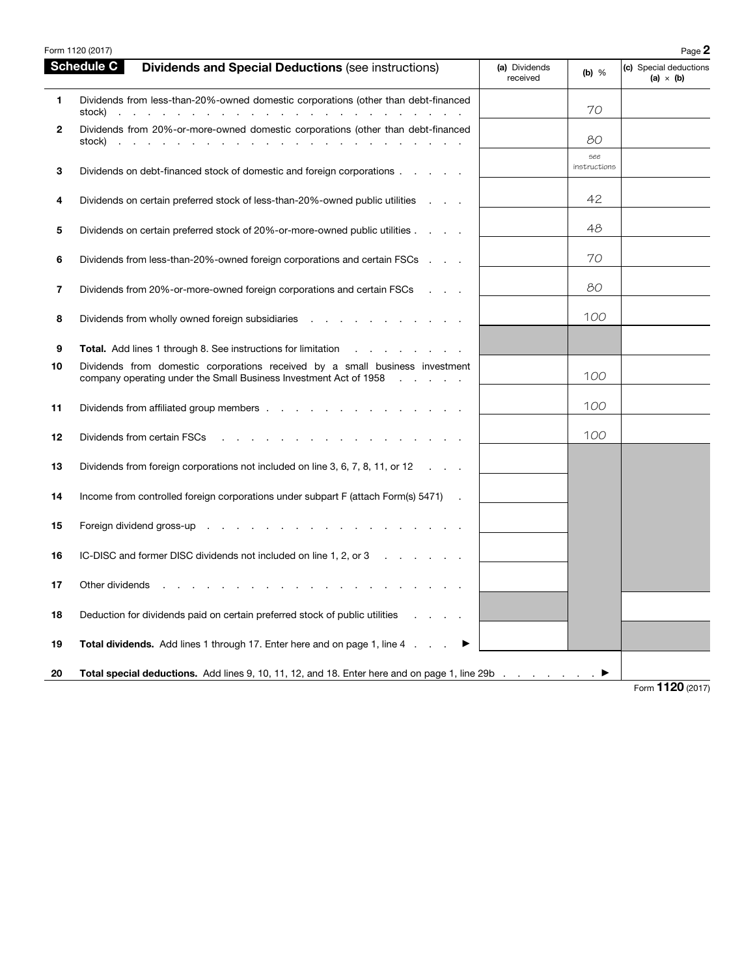| <b>Schedule C</b><br><b>Dividends and Special Deductions (see instructions)</b><br>(a) Dividends<br>received<br>$\mathbf{1}$<br>Dividends from less-than-20%-owned domestic corporations (other than debt-financed<br>stock)<br>the second contract of the second contract of the second contract of<br>$\mathbf{2}$<br>Dividends from 20%-or-more-owned domestic corporations (other than debt-financed<br>stock)<br>$\mathbf{r}$<br>and the control of<br><b>Contract Contract</b><br>the company of the company<br>3<br>Dividends on debt-financed stock of domestic and foreign corporations<br>Dividends on certain preferred stock of less-than-20%-owned public utilities<br>4<br>Dividends on certain preferred stock of 20%-or-more-owned public utilities<br>5<br>Dividends from less-than-20%-owned foreign corporations and certain FSCs<br>6 |                     |                                            |
|-----------------------------------------------------------------------------------------------------------------------------------------------------------------------------------------------------------------------------------------------------------------------------------------------------------------------------------------------------------------------------------------------------------------------------------------------------------------------------------------------------------------------------------------------------------------------------------------------------------------------------------------------------------------------------------------------------------------------------------------------------------------------------------------------------------------------------------------------------------|---------------------|--------------------------------------------|
|                                                                                                                                                                                                                                                                                                                                                                                                                                                                                                                                                                                                                                                                                                                                                                                                                                                           | (b) $%$             | (c) Special deductions<br>(a) $\times$ (b) |
|                                                                                                                                                                                                                                                                                                                                                                                                                                                                                                                                                                                                                                                                                                                                                                                                                                                           | 70                  |                                            |
|                                                                                                                                                                                                                                                                                                                                                                                                                                                                                                                                                                                                                                                                                                                                                                                                                                                           | 80                  |                                            |
|                                                                                                                                                                                                                                                                                                                                                                                                                                                                                                                                                                                                                                                                                                                                                                                                                                                           | see<br>instructions |                                            |
|                                                                                                                                                                                                                                                                                                                                                                                                                                                                                                                                                                                                                                                                                                                                                                                                                                                           | 42                  |                                            |
|                                                                                                                                                                                                                                                                                                                                                                                                                                                                                                                                                                                                                                                                                                                                                                                                                                                           | 48                  |                                            |
|                                                                                                                                                                                                                                                                                                                                                                                                                                                                                                                                                                                                                                                                                                                                                                                                                                                           | 70                  |                                            |
| $\overline{\mathbf{r}}$<br>Dividends from 20%-or-more-owned foreign corporations and certain FSCs<br><b>Contract Contract Contract</b>                                                                                                                                                                                                                                                                                                                                                                                                                                                                                                                                                                                                                                                                                                                    | 80                  |                                            |
| 8<br>Dividends from wholly owned foreign subsidiaries                                                                                                                                                                                                                                                                                                                                                                                                                                                                                                                                                                                                                                                                                                                                                                                                     | 100                 |                                            |
| 9<br><b>Total.</b> Add lines 1 through 8. See instructions for limitation                                                                                                                                                                                                                                                                                                                                                                                                                                                                                                                                                                                                                                                                                                                                                                                 |                     |                                            |
| Dividends from domestic corporations received by a small business investment<br>10<br>company operating under the Small Business Investment Act of 1958<br>$\sim$ $\sim$                                                                                                                                                                                                                                                                                                                                                                                                                                                                                                                                                                                                                                                                                  | 100                 |                                            |
| 11<br>Dividends from affiliated group members                                                                                                                                                                                                                                                                                                                                                                                                                                                                                                                                                                                                                                                                                                                                                                                                             | 100                 |                                            |
| Dividends from certain FSCs<br>12                                                                                                                                                                                                                                                                                                                                                                                                                                                                                                                                                                                                                                                                                                                                                                                                                         | 100                 |                                            |
| Dividends from foreign corporations not included on line 3, 6, 7, 8, 11, or 12<br>13                                                                                                                                                                                                                                                                                                                                                                                                                                                                                                                                                                                                                                                                                                                                                                      |                     |                                            |
| 14<br>Income from controlled foreign corporations under subpart F (attach Form(s) 5471) .                                                                                                                                                                                                                                                                                                                                                                                                                                                                                                                                                                                                                                                                                                                                                                 |                     |                                            |
| 15<br>Foreign dividend gross-up                                                                                                                                                                                                                                                                                                                                                                                                                                                                                                                                                                                                                                                                                                                                                                                                                           |                     |                                            |
| IC-DISC and former DISC dividends not included on line 1, 2, or 3<br>16                                                                                                                                                                                                                                                                                                                                                                                                                                                                                                                                                                                                                                                                                                                                                                                   |                     |                                            |
| 17<br>Other dividends                                                                                                                                                                                                                                                                                                                                                                                                                                                                                                                                                                                                                                                                                                                                                                                                                                     |                     |                                            |
| 18<br>Deduction for dividends paid on certain preferred stock of public utilities                                                                                                                                                                                                                                                                                                                                                                                                                                                                                                                                                                                                                                                                                                                                                                         |                     |                                            |
| 19<br><b>Total dividends.</b> Add lines 1 through 17. Enter here and on page 1, line 4                                                                                                                                                                                                                                                                                                                                                                                                                                                                                                                                                                                                                                                                                                                                                                    |                     |                                            |
| Total special deductions. Add lines 9, 10, 11, 12, and 18. Enter here and on page 1, line 29b<br>20                                                                                                                                                                                                                                                                                                                                                                                                                                                                                                                                                                                                                                                                                                                                                       |                     | $T_{\text{c}} = 1190 \text{ (2017)}$       |

Form 1120 (2017)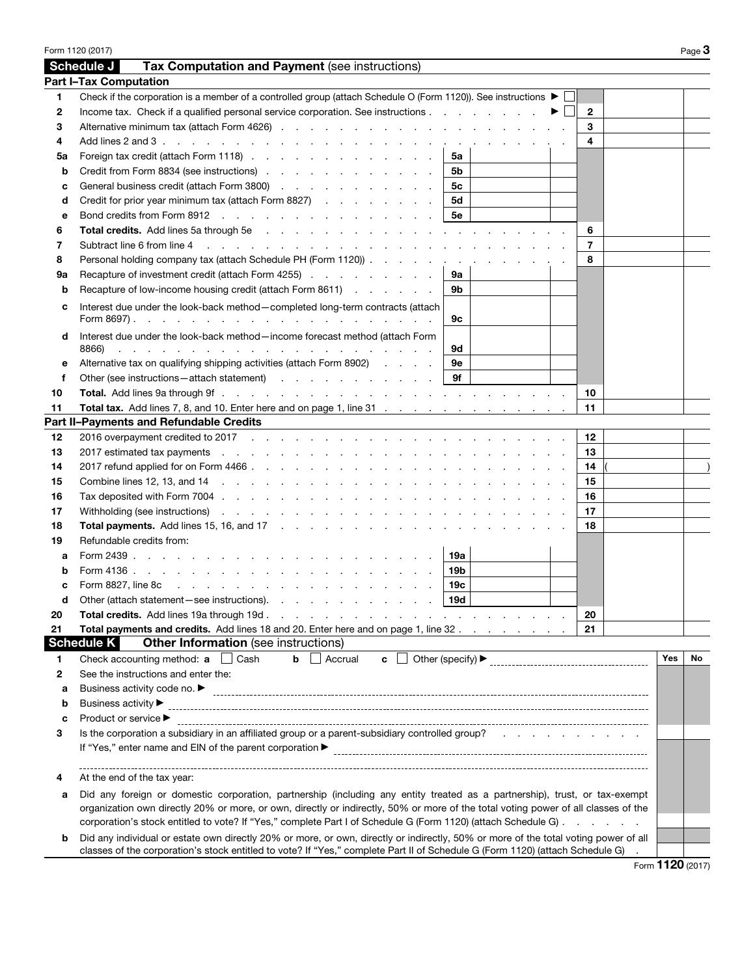|                  | Form 1120 (2017)                                                                                                                                                                                                                                                                  |                   |    |                |            | Page 3 |
|------------------|-----------------------------------------------------------------------------------------------------------------------------------------------------------------------------------------------------------------------------------------------------------------------------------|-------------------|----|----------------|------------|--------|
|                  | Tax Computation and Payment (see instructions)<br>Schedule J                                                                                                                                                                                                                      |                   |    |                |            |        |
|                  | <b>Part I-Tax Computation</b>                                                                                                                                                                                                                                                     |                   |    |                |            |        |
| 1                | Check if the corporation is a member of a controlled group (attach Schedule O (Form 1120)). See instructions $\blacktriangleright \Box$                                                                                                                                           |                   |    |                |            |        |
| $\boldsymbol{2}$ | Income tax. Check if a qualified personal service corporation. See instructions                                                                                                                                                                                                   |                   | ▶□ | $\mathbf{2}$   |            |        |
| 3                |                                                                                                                                                                                                                                                                                   |                   |    | 3              |            |        |
| 4                | Add lines 2 and 3 $\ldots$ $\ldots$ $\ldots$ $\ldots$ $\ldots$ $\ldots$ $\ldots$ $\ldots$ $\ldots$ $\ldots$ $\ldots$ $\ldots$ $\ldots$                                                                                                                                            |                   |    | 4              |            |        |
| 5a               | Foreign tax credit (attach Form 1118)                                                                                                                                                                                                                                             | 5a                |    |                |            |        |
| b                | Credit from Form 8834 (see instructions)                                                                                                                                                                                                                                          | 5b                |    |                |            |        |
| с                | General business credit (attach Form 3800)                                                                                                                                                                                                                                        | 5c                |    |                |            |        |
| d                | Credit for prior year minimum tax (attach Form 8827)                                                                                                                                                                                                                              | <b>5d</b>         |    |                |            |        |
| е                | Bond credits from Form 8912                                                                                                                                                                                                                                                       | 5е                |    |                |            |        |
| 6                |                                                                                                                                                                                                                                                                                   |                   |    | 6              |            |        |
| 7                | Subtract line 6 from line 4 (edge) and contact the contact of the contact of the contact of the contact of the contact of the contact of the contact of the contact of the contact of the contact of the contact of the contac                                                    |                   |    | $\overline{7}$ |            |        |
| 8                | Personal holding company tax (attach Schedule PH (Form 1120)).                                                                                                                                                                                                                    |                   |    | 8              |            |        |
| 9а               | Recapture of investment credit (attach Form 4255)                                                                                                                                                                                                                                 | 9а                |    |                |            |        |
| b                | Recapture of low-income housing credit (attach Form 8611)                                                                                                                                                                                                                         | 9b                |    |                |            |        |
|                  |                                                                                                                                                                                                                                                                                   |                   |    |                |            |        |
| c                | Interest due under the look-back method-completed long-term contracts (attach                                                                                                                                                                                                     | 9с                |    |                |            |        |
| d                | Interest due under the look-back method-income forecast method (attach Form<br>8866)<br>and the contract of the contract of the contract of the contract of the contract of                                                                                                       | 9d                |    |                |            |        |
| е                | Alternative tax on qualifying shipping activities (attach Form 8902)                                                                                                                                                                                                              | 9e                |    |                |            |        |
| f                | Other (see instructions – attach statement)                                                                                                                                                                                                                                       | 9f                |    |                |            |        |
| 10               |                                                                                                                                                                                                                                                                                   |                   |    | 10             |            |        |
| 11               | Total tax. Add lines 7, 8, and 10. Enter here and on page 1, line 31                                                                                                                                                                                                              |                   |    | 11             |            |        |
|                  | Part II-Payments and Refundable Credits                                                                                                                                                                                                                                           |                   |    |                |            |        |
| 12               |                                                                                                                                                                                                                                                                                   |                   |    | 12             |            |        |
| 13               | 2017 estimated tax payments results in the contract of the contract of the contract of the contract of the contract of the contract of the contract of the contract of the contract of the contract of the contract of the con                                                    |                   |    | 13             |            |        |
| 14               |                                                                                                                                                                                                                                                                                   |                   |    | 14             |            |        |
| 15               | Combine lines 12, 13, and 14 (e.g. b) and the combine lines 12, 13, and 14 (e.g. b) and compute the computation of the computation of the computation of the computation of the computation of the computation of the computat                                                    |                   |    | 15             |            |        |
| 16               |                                                                                                                                                                                                                                                                                   |                   |    | 16             |            |        |
| 17               | Withholding (see instructions) (example and example and example and example and example and example and example and example and example and example and example and example and example and example and example and example an                                                    |                   |    | 17             |            |        |
| 18               |                                                                                                                                                                                                                                                                                   |                   |    | 18             |            |        |
| 19               | Refundable credits from:                                                                                                                                                                                                                                                          |                   |    |                |            |        |
|                  |                                                                                                                                                                                                                                                                                   | 19a               |    |                |            |        |
| а                |                                                                                                                                                                                                                                                                                   |                   |    |                |            |        |
| b                |                                                                                                                                                                                                                                                                                   | 19b               |    |                |            |        |
| c                |                                                                                                                                                                                                                                                                                   | 19c<br><b>19d</b> |    |                |            |        |
| a                | Other (attach statement-see instructions).                                                                                                                                                                                                                                        |                   |    |                |            |        |
| 20               | <b>Total credits.</b> Add lines 19a through 19d.<br>a construction of the construction of the construction of the construction of the construction of the construction of the construction of the construction of the construction of the construction of the construction of the |                   |    | 20             |            |        |
| 21               | Total payments and credits. Add lines 18 and 20. Enter here and on page 1, line 32<br><b>Schedule K</b><br><b>Other Information</b> (see instructions)                                                                                                                            |                   |    | 21             |            |        |
|                  |                                                                                                                                                                                                                                                                                   |                   |    |                | <b>Yes</b> | No     |
| 1                | Check accounting method: a<br>$\Box$ Cash<br>Accrual<br>b<br>$\mathbf{c}$                                                                                                                                                                                                         |                   |    |                |            |        |
| 2                | See the instructions and enter the:                                                                                                                                                                                                                                               |                   |    |                |            |        |
| а                | Business activity code no. ▶                                                                                                                                                                                                                                                      |                   |    |                |            |        |
| b                | Business activity ▶                                                                                                                                                                                                                                                               |                   |    |                |            |        |
| c                | Product or service ▶                                                                                                                                                                                                                                                              |                   |    |                |            |        |
| 3                | Is the corporation a subsidiary in an affiliated group or a parent-subsidiary controlled group?<br>If "Yes," enter name and EIN of the parent corporation ▶                                                                                                                       |                   |    |                |            |        |
| 4                | At the end of the tax year:                                                                                                                                                                                                                                                       |                   |    |                |            |        |
| а                | Did any foreign or domestic corporation, partnership (including any entity treated as a partnership), trust, or tax-exempt                                                                                                                                                        |                   |    |                |            |        |
|                  | organization own directly 20% or more, or own, directly or indirectly, 50% or more of the total voting power of all classes of the                                                                                                                                                |                   |    |                |            |        |
|                  | corporation's stock entitled to vote? If "Yes," complete Part I of Schedule G (Form 1120) (attach Schedule G)                                                                                                                                                                     |                   |    |                |            |        |
| b                | Did any individual or estate own directly 20% or more, or own, directly or indirectly, 50% or more of the total voting power of all                                                                                                                                               |                   |    |                |            |        |
|                  | classes of the corporation's stock entitled to vote? If "Yes," complete Part II of Schedule G (Form 1120) (attach Schedule G)                                                                                                                                                     |                   |    |                |            |        |

Form 1120 (2017)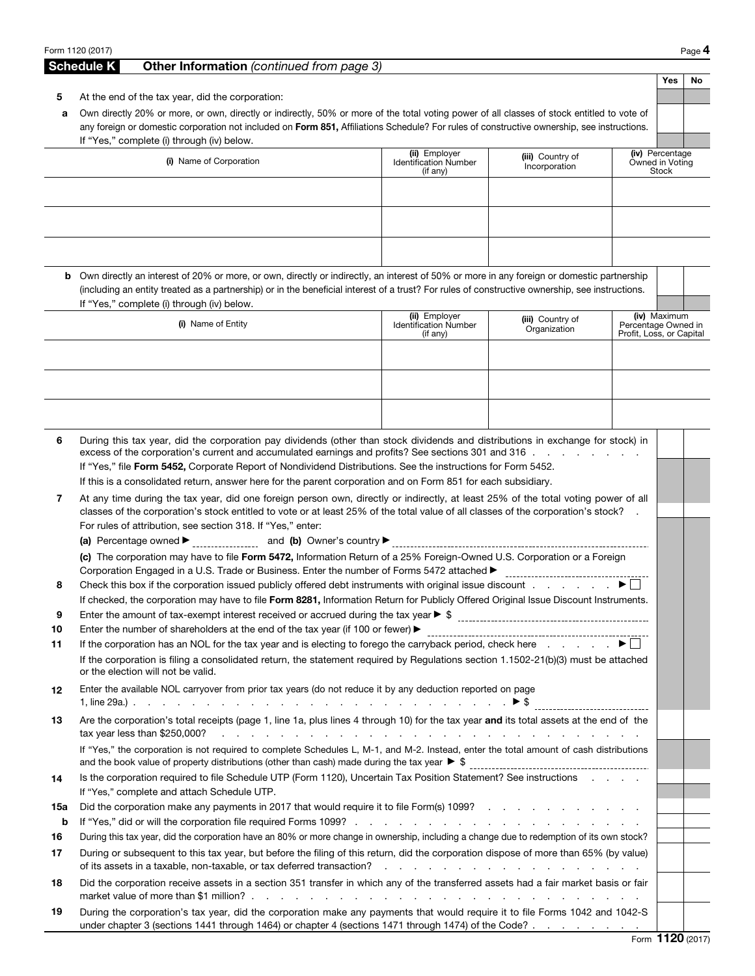|          | Form 1120 (2017)                                                                                                                                                                                                                                                                           |                                          |                                  |                                                 |                          | Page 4    |
|----------|--------------------------------------------------------------------------------------------------------------------------------------------------------------------------------------------------------------------------------------------------------------------------------------------|------------------------------------------|----------------------------------|-------------------------------------------------|--------------------------|-----------|
|          | <b>Schedule K</b><br>Other Information (continued from page 3)                                                                                                                                                                                                                             |                                          |                                  |                                                 |                          |           |
|          |                                                                                                                                                                                                                                                                                            |                                          |                                  |                                                 | Yes                      | <b>No</b> |
| 5        | At the end of the tax year, did the corporation:                                                                                                                                                                                                                                           |                                          |                                  |                                                 |                          |           |
| а        | Own directly 20% or more, or own, directly or indirectly, 50% or more of the total voting power of all classes of stock entitled to vote of<br>any foreign or domestic corporation not included on Form 851, Affiliations Schedule? For rules of constructive ownership, see instructions. |                                          |                                  |                                                 |                          |           |
|          | If "Yes," complete (i) through (iv) below.                                                                                                                                                                                                                                                 |                                          |                                  |                                                 |                          |           |
|          | (i) Name of Corporation                                                                                                                                                                                                                                                                    | (ii) Employer                            | (iii) Country of                 |                                                 | (iv) Percentage          |           |
|          |                                                                                                                                                                                                                                                                                            | <b>Identification Number</b><br>(if any) | Incorporation                    |                                                 | Owned in Voting<br>Stock |           |
|          |                                                                                                                                                                                                                                                                                            |                                          |                                  |                                                 |                          |           |
|          |                                                                                                                                                                                                                                                                                            |                                          |                                  |                                                 |                          |           |
|          |                                                                                                                                                                                                                                                                                            |                                          |                                  |                                                 |                          |           |
|          |                                                                                                                                                                                                                                                                                            |                                          |                                  |                                                 |                          |           |
|          |                                                                                                                                                                                                                                                                                            |                                          |                                  |                                                 |                          |           |
|          | <b>b</b> Own directly an interest of 20% or more, or own, directly or indirectly, an interest of 50% or more in any foreign or domestic partnership                                                                                                                                        |                                          |                                  |                                                 |                          |           |
|          | (including an entity treated as a partnership) or in the beneficial interest of a trust? For rules of constructive ownership, see instructions.                                                                                                                                            |                                          |                                  |                                                 |                          |           |
|          | If "Yes," complete (i) through (iv) below.                                                                                                                                                                                                                                                 | (ii) Employer                            |                                  |                                                 | (iv) Maximum             |           |
|          | (i) Name of Entity                                                                                                                                                                                                                                                                         | <b>Identification Number</b>             | (iii) Country of<br>Organization | Percentage Owned in<br>Profit, Loss, or Capital |                          |           |
|          |                                                                                                                                                                                                                                                                                            | (if any)                                 |                                  |                                                 |                          |           |
|          |                                                                                                                                                                                                                                                                                            |                                          |                                  |                                                 |                          |           |
|          |                                                                                                                                                                                                                                                                                            |                                          |                                  |                                                 |                          |           |
|          |                                                                                                                                                                                                                                                                                            |                                          |                                  |                                                 |                          |           |
|          |                                                                                                                                                                                                                                                                                            |                                          |                                  |                                                 |                          |           |
|          |                                                                                                                                                                                                                                                                                            |                                          |                                  |                                                 |                          |           |
| 6        | During this tax year, did the corporation pay dividends (other than stock dividends and distributions in exchange for stock) in<br>excess of the corporation's current and accumulated earnings and profits? See sections 301 and 316                                                      |                                          |                                  |                                                 |                          |           |
|          | If "Yes," file Form 5452, Corporate Report of Nondividend Distributions. See the instructions for Form 5452.                                                                                                                                                                               |                                          |                                  |                                                 |                          |           |
|          | If this is a consolidated return, answer here for the parent corporation and on Form 851 for each subsidiary.                                                                                                                                                                              |                                          |                                  |                                                 |                          |           |
| 7        | At any time during the tax year, did one foreign person own, directly or indirectly, at least 25% of the total voting power of all                                                                                                                                                         |                                          |                                  |                                                 |                          |           |
|          | classes of the corporation's stock entitled to vote or at least 25% of the total value of all classes of the corporation's stock?                                                                                                                                                          |                                          |                                  |                                                 |                          |           |
|          | For rules of attribution, see section 318. If "Yes," enter:                                                                                                                                                                                                                                |                                          |                                  |                                                 |                          |           |
|          | (c) The corporation may have to file Form 5472, Information Return of a 25% Foreign-Owned U.S. Corporation or a Foreign                                                                                                                                                                    |                                          |                                  |                                                 |                          |           |
|          | Corporation Engaged in a U.S. Trade or Business. Enter the number of Forms 5472 attached ▶                                                                                                                                                                                                 |                                          |                                  |                                                 |                          |           |
| 8        | Check this box if the corporation issued publicly offered debt instruments with original issue discount $\Box$                                                                                                                                                                             |                                          |                                  |                                                 |                          |           |
|          | If checked, the corporation may have to file Form 8281, Information Return for Publicly Offered Original Issue Discount Instruments.                                                                                                                                                       |                                          |                                  |                                                 |                          |           |
| 9        |                                                                                                                                                                                                                                                                                            |                                          |                                  |                                                 |                          |           |
| 10<br>11 | Enter the number of shareholders at the end of the tax year (if 100 or fewer) $\blacktriangleright$<br>If the corporation has an NOL for the tax year and is electing to forego the carryback period, check here $\ldots \ldots$                                                           |                                          |                                  |                                                 |                          |           |
|          | If the corporation is filing a consolidated return, the statement required by Regulations section 1.1502-21(b)(3) must be attached                                                                                                                                                         |                                          |                                  |                                                 |                          |           |
|          | or the election will not be valid.                                                                                                                                                                                                                                                         |                                          |                                  |                                                 |                          |           |
| 12       | Enter the available NOL carryover from prior tax years (do not reduce it by any deduction reported on page                                                                                                                                                                                 |                                          |                                  |                                                 |                          |           |
|          |                                                                                                                                                                                                                                                                                            |                                          |                                  |                                                 |                          |           |
| 13       | Are the corporation's total receipts (page 1, line 1a, plus lines 4 through 10) for the tax year and its total assets at the end of the                                                                                                                                                    |                                          |                                  |                                                 |                          |           |
|          | If "Yes," the corporation is not required to complete Schedules L, M-1, and M-2. Instead, enter the total amount of cash distributions                                                                                                                                                     |                                          |                                  |                                                 |                          |           |
|          |                                                                                                                                                                                                                                                                                            |                                          |                                  |                                                 |                          |           |
| 14       | Is the corporation required to file Schedule UTP (Form 1120), Uncertain Tax Position Statement? See instructions                                                                                                                                                                           |                                          |                                  |                                                 |                          |           |
|          | If "Yes," complete and attach Schedule UTP.                                                                                                                                                                                                                                                |                                          |                                  |                                                 |                          |           |
| 15a      | Did the corporation make any payments in 2017 that would require it to file Form(s) 1099?                                                                                                                                                                                                  |                                          |                                  |                                                 |                          |           |
| b        |                                                                                                                                                                                                                                                                                            |                                          |                                  |                                                 |                          |           |
| 16       | During this tax year, did the corporation have an 80% or more change in ownership, including a change due to redemption of its own stock?                                                                                                                                                  |                                          |                                  |                                                 |                          |           |
| 17       | During or subsequent to this tax year, but before the filing of this return, did the corporation dispose of more than 65% (by value)                                                                                                                                                       |                                          |                                  |                                                 |                          |           |
| 18       | Did the corporation receive assets in a section 351 transfer in which any of the transferred assets had a fair market basis or fair                                                                                                                                                        |                                          |                                  |                                                 |                          |           |
|          |                                                                                                                                                                                                                                                                                            |                                          |                                  |                                                 |                          |           |
| 19       | During the corporation's tax year, did the corporation make any payments that would require it to file Forms 1042 and 1042-S                                                                                                                                                               |                                          |                                  |                                                 |                          |           |
|          | under chapter 3 (sections 1441 through 1464) or chapter 4 (sections 1471 through 1474) of the Code?                                                                                                                                                                                        |                                          |                                  |                                                 |                          |           |